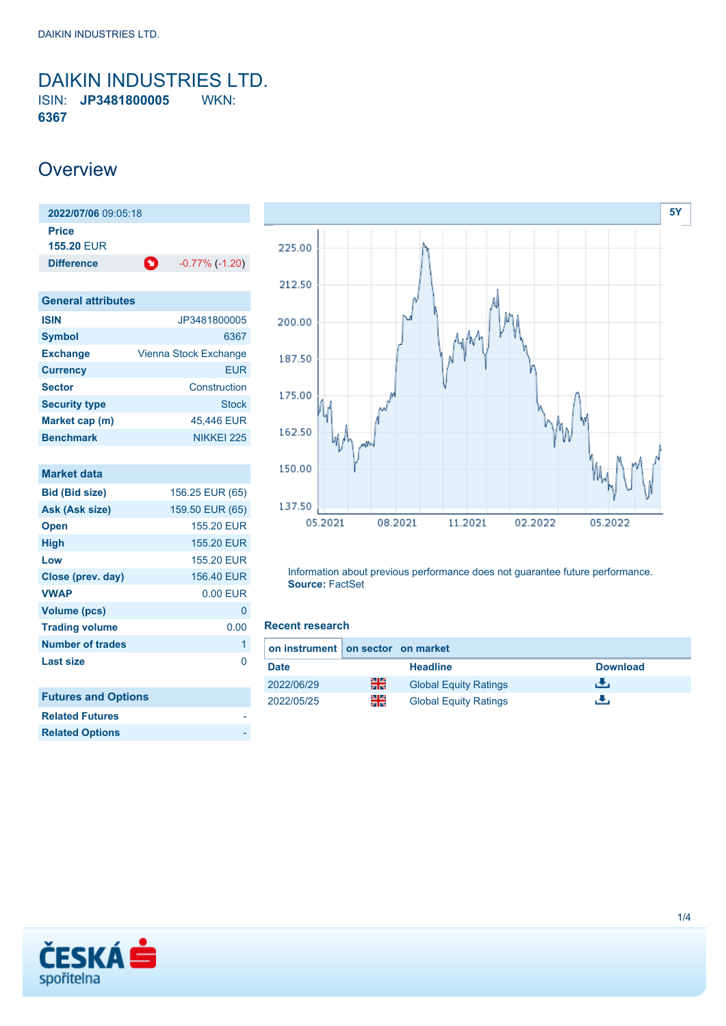<span id="page-0-0"></span>DAIKIN INDUSTRIES LTD. ISIN: **JP3481800005** WKN: **6367**

## **Overview**

| 2022/07/06 09:05:18        |                            |
|----------------------------|----------------------------|
| Price<br><b>155.20 EUR</b> |                            |
| <b>Difference</b>          | М<br>$-0.77\%$ ( $-1.20$ ) |
|                            |                            |
| <b>General attributes</b>  |                            |
| <b>ISIN</b>                | JP3481800005               |
| <b>Symbol</b>              | 6367                       |
| <b>Exchange</b>            | Vienna Stock Exchange      |
| <b>Currency</b>            | <b>EUR</b>                 |
| <b>Sector</b>              | Construction               |
| <b>Security type</b>       | <b>Stock</b>               |
| Market cap (m)             | 45,446 EUR                 |
| <b>Benchmark</b>           | NIKKFI 225                 |
|                            |                            |

| <b>Market data</b>         |                 |
|----------------------------|-----------------|
| <b>Bid (Bid size)</b>      | 156.25 EUR (65) |
| Ask (Ask size)             | 159.50 EUR (65) |
| <b>Open</b>                | 155.20 EUR      |
| High                       | 155.20 EUR      |
| Low                        | 155.20 EUR      |
| Close (prev. day)          | 156.40 EUR      |
| <b>VWAP</b>                | $0.00$ EUR      |
| <b>Volume (pcs)</b>        | 0               |
| <b>Trading volume</b>      | 0.00            |
| <b>Number of trades</b>    | 1               |
| Last size                  | n               |
|                            |                 |
| <b>Futures and Options</b> |                 |
| <b>Related Futures</b>     |                 |
| <b>Related Options</b>     |                 |
|                            |                 |



Information about previous performance does not guarantee future performance. **Source:** FactSet

### **Recent research**

| on instrument on sector on market |    |                              |                 |
|-----------------------------------|----|------------------------------|-----------------|
| <b>Date</b>                       |    | <b>Headline</b>              | <b>Download</b> |
| 2022/06/29                        | 픪중 | <b>Global Equity Ratings</b> | еΨ.             |
| 2022/05/25                        | XK | <b>Global Equity Ratings</b> |                 |

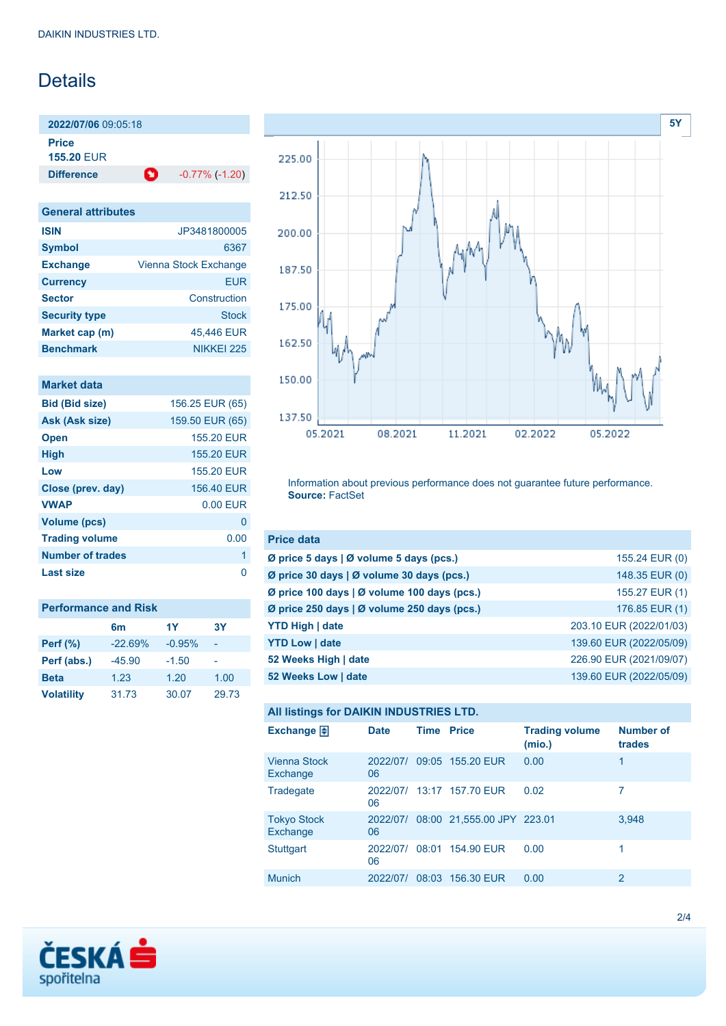# **Details**

**2022/07/06** 09:05:18

**Price**

**155.20** EUR

**Difference 1** -0.77% (-1.20)

| <b>General attributes</b> |                       |
|---------------------------|-----------------------|
| <b>ISIN</b>               | JP3481800005          |
| <b>Symbol</b>             | 6367                  |
| <b>Exchange</b>           | Vienna Stock Exchange |
| <b>Currency</b>           | <b>EUR</b>            |
| <b>Sector</b>             | Construction          |
| <b>Security type</b>      | Stock                 |
| Market cap (m)            | 45,446 EUR            |
| <b>Benchmark</b>          | NIKKFI 225            |

|  |  | <b>Market data</b> |
|--|--|--------------------|
|  |  |                    |
|  |  |                    |
|  |  |                    |

| <b>Bid (Bid size)</b> | 156.25 EUR (65) |
|-----------------------|-----------------|
| Ask (Ask size)        | 159.50 EUR (65) |
| <b>Open</b>           | 155.20 FUR      |
| <b>High</b>           | 155.20 EUR      |
| Low                   | 155.20 EUR      |
| Close (prev. day)     | 156.40 EUR      |
| <b>VWAP</b>           | $0.00$ EUR      |
| <b>Volume (pcs)</b>   | O               |
| <b>Trading volume</b> | 0.00            |
| Number of trades      | 1               |
| Last size             |                 |
|                       |                 |

| <b>Performance and Risk</b> |                |          |       |  |  |
|-----------------------------|----------------|----------|-------|--|--|
|                             | 6 <sub>m</sub> | 1Y       | 3Y    |  |  |
| <b>Perf (%)</b>             | $-22.69%$      | $-0.95%$ |       |  |  |
| Perf (abs.)                 | $-45.90$       | $-1.50$  |       |  |  |
| <b>Beta</b>                 | 1.23           | 1.20     | 1.00  |  |  |
| <b>Volatility</b>           | 31.73          | 30.07    | 29.73 |  |  |



Information about previous performance does not guarantee future performance. **Source:** FactSet

| <b>Price data</b>                                         |                         |
|-----------------------------------------------------------|-------------------------|
| $\emptyset$ price 5 days $\emptyset$ volume 5 days (pcs.) | 155.24 EUR (0)          |
| Ø price 30 days   Ø volume 30 days (pcs.)                 | 148.35 EUR (0)          |
| Ø price 100 days   Ø volume 100 days (pcs.)               | 155.27 EUR (1)          |
| Ø price 250 days   Ø volume 250 days (pcs.)               | 176.85 EUR (1)          |
| <b>YTD High   date</b>                                    | 203.10 EUR (2022/01/03) |
| <b>YTD Low   date</b>                                     | 139.60 EUR (2022/05/09) |
| 52 Weeks High   date                                      | 226.90 EUR (2021/09/07) |
| 52 Weeks Low   date                                       | 139.60 EUR (2022/05/09) |

## **All listings for DAIKIN INDUSTRIES LTD.**

| Exchange $\Box$                 | <b>Date</b>    | <b>Time Price</b> |                            | <b>Trading volume</b><br>(mio.) | <b>Number of</b><br>trades |
|---------------------------------|----------------|-------------------|----------------------------|---------------------------------|----------------------------|
| <b>Vienna Stock</b><br>Exchange | 2022/07/<br>06 |                   | 09:05 155.20 EUR           | 0.00                            | 1                          |
| Tradegate                       | 2022/07/<br>06 |                   | 13:17 157.70 EUR           | 0.02                            | 7                          |
| <b>Tokyo Stock</b><br>Exchange  | 2022/07/<br>06 |                   | 08:00 21,555.00 JPY 223.01 |                                 | 3,948                      |
| Stuttgart                       | 2022/07/<br>06 |                   | 08:01 154.90 EUR           | 0.00                            |                            |
| <b>Munich</b>                   | 2022/07/       | 08:03             | 156.30 EUR                 | 0.00                            | 2                          |

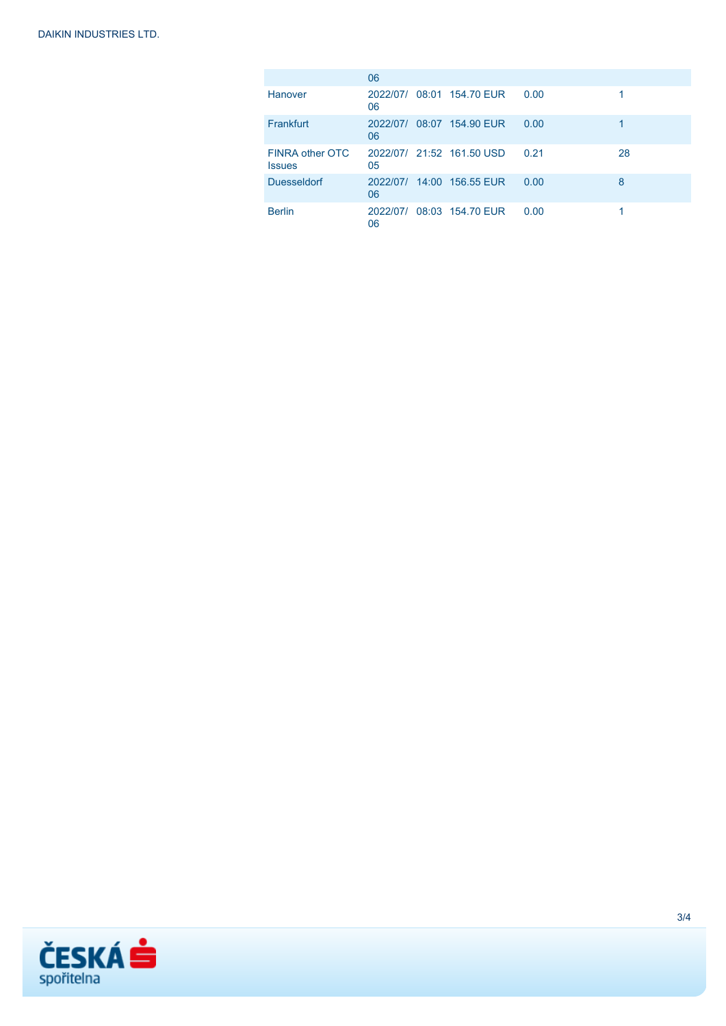|                                  | 06             |                           |      |    |
|----------------------------------|----------------|---------------------------|------|----|
| Hanover                          | 06             | 2022/07/ 08:01 154.70 EUR | 0.00 |    |
| Frankfurt                        | 06             | 2022/07/ 08:07 154.90 EUR | 0.00 |    |
| FINRA other OTC<br><b>Issues</b> | 05             | 2022/07/ 21:52 161.50 USD | 0.21 | 28 |
| <b>Duesseldorf</b>               | 2022/07/<br>06 | 14:00 156.55 EUR          | 0.00 | 8  |
| <b>Berlin</b>                    | 06             | 2022/07/ 08:03 154.70 EUR | 0.00 |    |